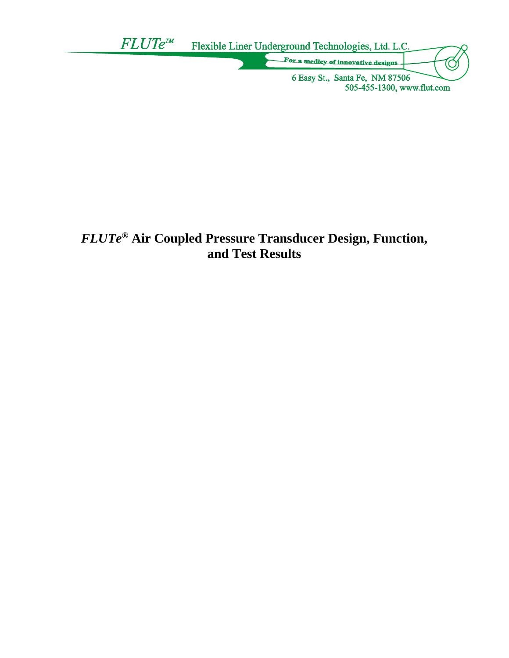

# *FLUTe***® Air Coupled Pressure Transducer Design, Function, and Test Results**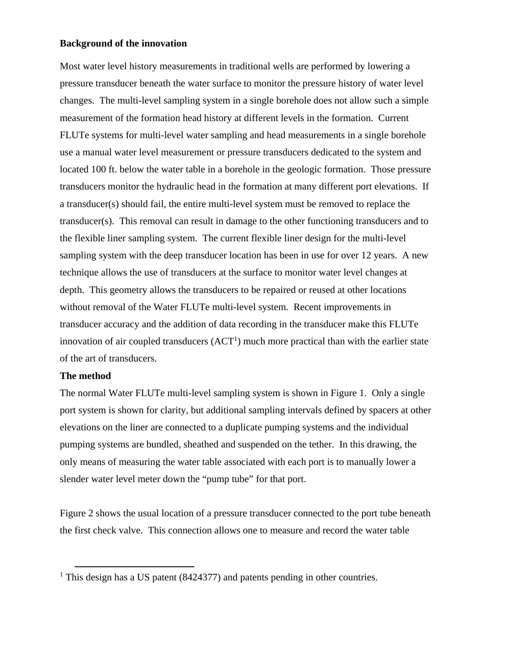## **Background of the innovation**

Most water level history measurements in traditional wells are performed by lowering a pressure transducer beneath the water surface to monitor the pressure history of water level changes. The multi-level sampling system in a single borehole does not allow such a simple measurement of the formation head history at different levels in the formation. Current FLUTe systems for multi-level water sampling and head measurements in a single borehole use a manual water level measurement or pressure transducers dedicated to the system and located 100 ft. below the water table in a borehole in the geologic formation. Those pressure transducers monitor the hydraulic head in the formation at many different port elevations. If a transducer(s) should fail, the entire multi-level system must be removed to replace the transducer(s). This removal can result in damage to the other functioning transducers and to the flexible liner sampling system. The current flexible liner design for the multi-level sampling system with the deep transducer location has been in use for over 12 years. A new technique allows the use of transducers at the surface to monitor water level changes at depth. This geometry allows the transducers to be repaired or reused at other locations without removal of the Water FLUTe multi-level system. Recent improvements in transducer accuracy and the addition of data recording in the transducer make this FLUTe innovation of air coupled transducers  $(ACT<sup>1</sup>)$  much more practical than with the earlier state of the art of transducers.

## **The method**

The normal Water FLUTe multi-level sampling system is shown in Figure 1. Only a single port system is shown for clarity, but additional sampling intervals defined by spacers at other elevations on the liner are connected to a duplicate pumping systems and the individual pumping systems are bundled, sheathed and suspended on the tether. In this drawing, the only means of measuring the water table associated with each port is to manually lower a slender water level meter down the "pump tube" for that port.

Figure 2 shows the usual location of a pressure transducer connected to the port tube beneath the first check valve. This connection allows one to measure and record the water table

<sup>&</sup>lt;sup>1</sup> This design has a US patent (8424377) and patents pending in other countries.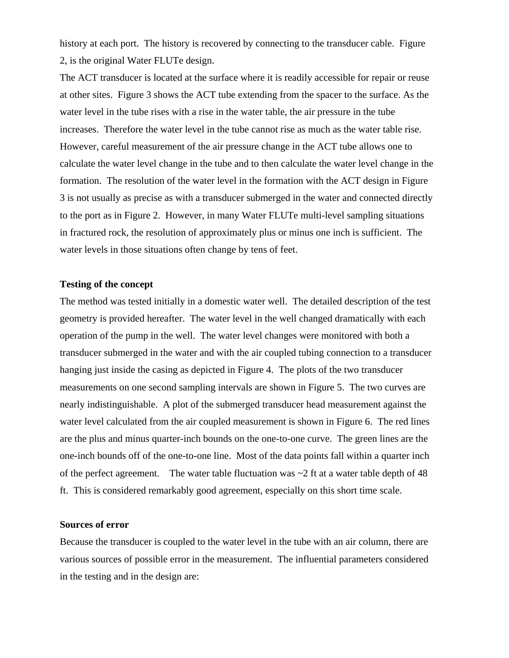history at each port. The history is recovered by connecting to the transducer cable. Figure 2, is the original Water FLUTe design.

The ACT transducer is located at the surface where it is readily accessible for repair or reuse at other sites. Figure 3 shows the ACT tube extending from the spacer to the surface. As the water level in the tube rises with a rise in the water table, the air pressure in the tube increases. Therefore the water level in the tube cannot rise as much as the water table rise. However, careful measurement of the air pressure change in the ACT tube allows one to calculate the water level change in the tube and to then calculate the water level change in the formation. The resolution of the water level in the formation with the ACT design in Figure 3 is not usually as precise as with a transducer submerged in the water and connected directly to the port as in Figure 2. However, in many Water FLUTe multi-level sampling situations in fractured rock, the resolution of approximately plus or minus one inch is sufficient. The water levels in those situations often change by tens of feet.

#### **Testing of the concept**

The method was tested initially in a domestic water well. The detailed description of the test geometry is provided hereafter. The water level in the well changed dramatically with each operation of the pump in the well. The water level changes were monitored with both a transducer submerged in the water and with the air coupled tubing connection to a transducer hanging just inside the casing as depicted in Figure 4. The plots of the two transducer measurements on one second sampling intervals are shown in Figure 5. The two curves are nearly indistinguishable. A plot of the submerged transducer head measurement against the water level calculated from the air coupled measurement is shown in Figure 6. The red lines are the plus and minus quarter-inch bounds on the one-to-one curve. The green lines are the one-inch bounds off of the one-to-one line. Most of the data points fall within a quarter inch of the perfect agreement. The water table fluctuation was  $\sim$  2 ft at a water table depth of 48 ft. This is considered remarkably good agreement, especially on this short time scale.

#### **Sources of error**

Because the transducer is coupled to the water level in the tube with an air column, there are various sources of possible error in the measurement. The influential parameters considered in the testing and in the design are: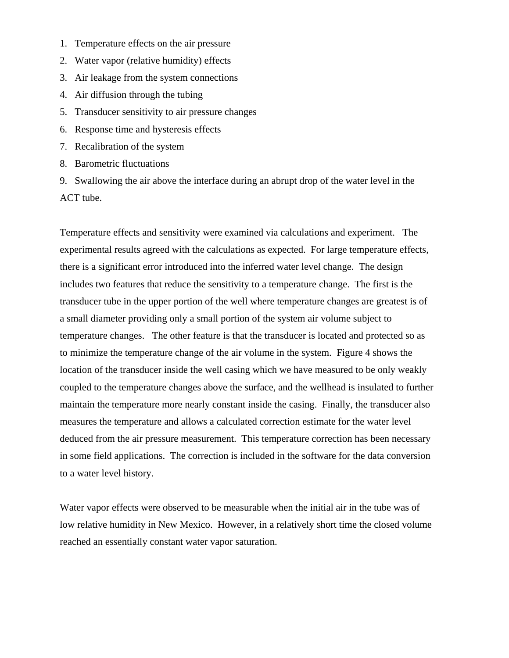- 1. Temperature effects on the air pressure
- 2. Water vapor (relative humidity) effects
- 3. Air leakage from the system connections
- 4. Air diffusion through the tubing
- 5. Transducer sensitivity to air pressure changes
- 6. Response time and hysteresis effects
- 7. Recalibration of the system
- 8. Barometric fluctuations
- 9. Swallowing the air above the interface during an abrupt drop of the water level in the ACT tube.

Temperature effects and sensitivity were examined via calculations and experiment. The experimental results agreed with the calculations as expected. For large temperature effects, there is a significant error introduced into the inferred water level change. The design includes two features that reduce the sensitivity to a temperature change. The first is the transducer tube in the upper portion of the well where temperature changes are greatest is of a small diameter providing only a small portion of the system air volume subject to temperature changes. The other feature is that the transducer is located and protected so as to minimize the temperature change of the air volume in the system. Figure 4 shows the location of the transducer inside the well casing which we have measured to be only weakly coupled to the temperature changes above the surface, and the wellhead is insulated to further maintain the temperature more nearly constant inside the casing. Finally, the transducer also measures the temperature and allows a calculated correction estimate for the water level deduced from the air pressure measurement. This temperature correction has been necessary in some field applications. The correction is included in the software for the data conversion to a water level history.

Water vapor effects were observed to be measurable when the initial air in the tube was of low relative humidity in New Mexico. However, in a relatively short time the closed volume reached an essentially constant water vapor saturation.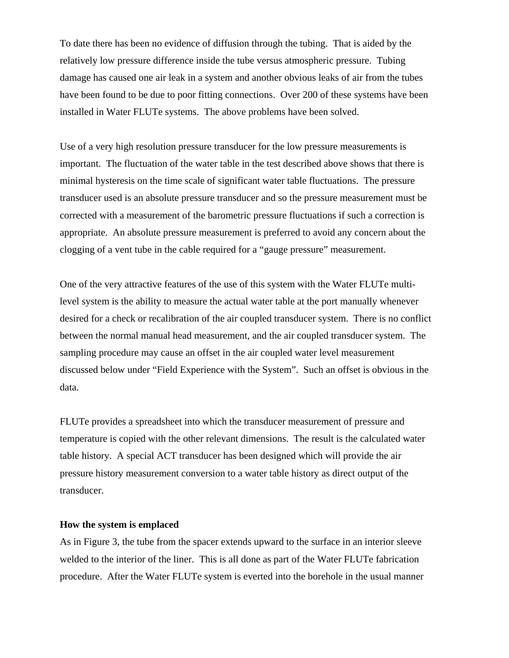To date there has been no evidence of diffusion through the tubing. That is aided by the relatively low pressure difference inside the tube versus atmospheric pressure. Tubing damage has caused one air leak in a system and another obvious leaks of air from the tubes have been found to be due to poor fitting connections. Over 200 of these systems have been installed in Water FLUTe systems. The above problems have been solved.

Use of a very high resolution pressure transducer for the low pressure measurements is important. The fluctuation of the water table in the test described above shows that there is minimal hysteresis on the time scale of significant water table fluctuations. The pressure transducer used is an absolute pressure transducer and so the pressure measurement must be corrected with a measurement of the barometric pressure fluctuations if such a correction is appropriate. An absolute pressure measurement is preferred to avoid any concern about the clogging of a vent tube in the cable required for a "gauge pressure" measurement.

One of the very attractive features of the use of this system with the Water FLUTe multilevel system is the ability to measure the actual water table at the port manually whenever desired for a check or recalibration of the air coupled transducer system. There is no conflict between the normal manual head measurement, and the air coupled transducer system. The sampling procedure may cause an offset in the air coupled water level measurement discussed below under "Field Experience with the System". Such an offset is obvious in the data.

FLUTe provides a spreadsheet into which the transducer measurement of pressure and temperature is copied with the other relevant dimensions. The result is the calculated water table history. A special ACT transducer has been designed which will provide the air pressure history measurement conversion to a water table history as direct output of the transducer.

#### **How the system is emplaced**

As in Figure 3, the tube from the spacer extends upward to the surface in an interior sleeve welded to the interior of the liner. This is all done as part of the Water FLUTe fabrication procedure. After the Water FLUTe system is everted into the borehole in the usual manner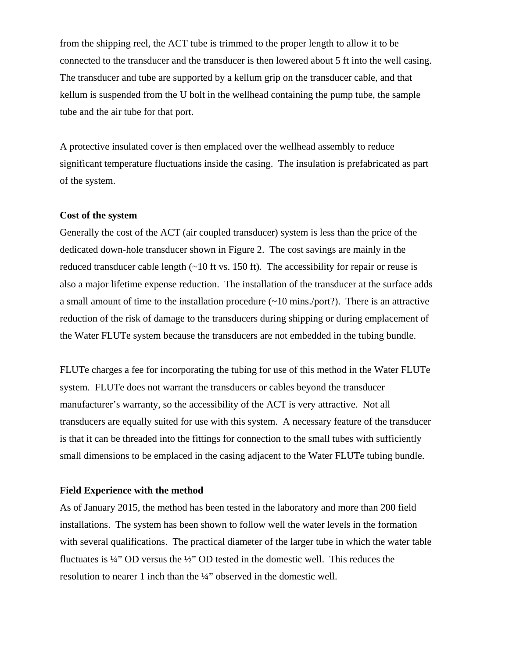from the shipping reel, the ACT tube is trimmed to the proper length to allow it to be connected to the transducer and the transducer is then lowered about 5 ft into the well casing. The transducer and tube are supported by a kellum grip on the transducer cable, and that kellum is suspended from the U bolt in the wellhead containing the pump tube, the sample tube and the air tube for that port.

A protective insulated cover is then emplaced over the wellhead assembly to reduce significant temperature fluctuations inside the casing. The insulation is prefabricated as part of the system.

## **Cost of the system**

Generally the cost of the ACT (air coupled transducer) system is less than the price of the dedicated down-hole transducer shown in Figure 2. The cost savings are mainly in the reduced transducer cable length  $(\sim 10 \text{ ft} \text{ vs. } 150 \text{ ft})$ . The accessibility for repair or reuse is also a major lifetime expense reduction. The installation of the transducer at the surface adds a small amount of time to the installation procedure (~10 mins./port?). There is an attractive reduction of the risk of damage to the transducers during shipping or during emplacement of the Water FLUTe system because the transducers are not embedded in the tubing bundle.

FLUTe charges a fee for incorporating the tubing for use of this method in the Water FLUTe system. FLUTe does not warrant the transducers or cables beyond the transducer manufacturer's warranty, so the accessibility of the ACT is very attractive. Not all transducers are equally suited for use with this system. A necessary feature of the transducer is that it can be threaded into the fittings for connection to the small tubes with sufficiently small dimensions to be emplaced in the casing adjacent to the Water FLUTe tubing bundle.

#### **Field Experience with the method**

As of January 2015, the method has been tested in the laboratory and more than 200 field installations. The system has been shown to follow well the water levels in the formation with several qualifications. The practical diameter of the larger tube in which the water table fluctuates is ¼" OD versus the ½" OD tested in the domestic well. This reduces the resolution to nearer 1 inch than the ¼" observed in the domestic well.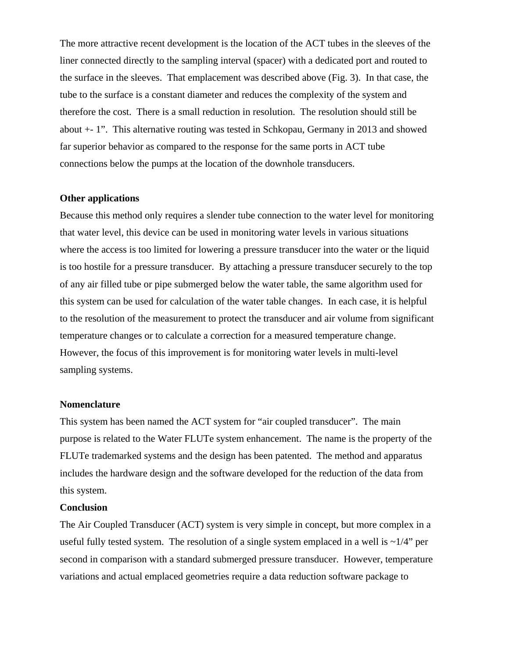The more attractive recent development is the location of the ACT tubes in the sleeves of the liner connected directly to the sampling interval (spacer) with a dedicated port and routed to the surface in the sleeves. That emplacement was described above (Fig. 3). In that case, the tube to the surface is a constant diameter and reduces the complexity of the system and therefore the cost. There is a small reduction in resolution. The resolution should still be about +- 1". This alternative routing was tested in Schkopau, Germany in 2013 and showed far superior behavior as compared to the response for the same ports in ACT tube connections below the pumps at the location of the downhole transducers.

## **Other applications**

Because this method only requires a slender tube connection to the water level for monitoring that water level, this device can be used in monitoring water levels in various situations where the access is too limited for lowering a pressure transducer into the water or the liquid is too hostile for a pressure transducer. By attaching a pressure transducer securely to the top of any air filled tube or pipe submerged below the water table, the same algorithm used for this system can be used for calculation of the water table changes. In each case, it is helpful to the resolution of the measurement to protect the transducer and air volume from significant temperature changes or to calculate a correction for a measured temperature change. However, the focus of this improvement is for monitoring water levels in multi-level sampling systems.

#### **Nomenclature**

This system has been named the ACT system for "air coupled transducer". The main purpose is related to the Water FLUTe system enhancement. The name is the property of the FLUTe trademarked systems and the design has been patented. The method and apparatus includes the hardware design and the software developed for the reduction of the data from this system.

## **Conclusion**

The Air Coupled Transducer (ACT) system is very simple in concept, but more complex in a useful fully tested system. The resolution of a single system emplaced in a well is  $\sim 1/4$ " per second in comparison with a standard submerged pressure transducer. However, temperature variations and actual emplaced geometries require a data reduction software package to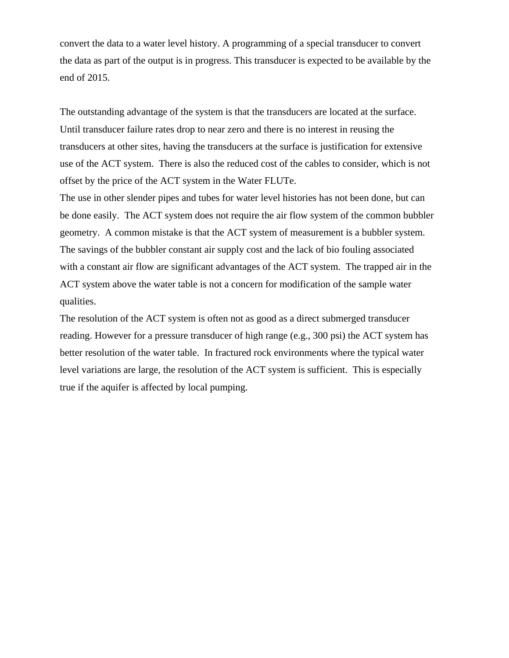convert the data to a water level history. A programming of a special transducer to convert the data as part of the output is in progress. This transducer is expected to be available by the end of 2015.

The outstanding advantage of the system is that the transducers are located at the surface. Until transducer failure rates drop to near zero and there is no interest in reusing the transducers at other sites, having the transducers at the surface is justification for extensive use of the ACT system. There is also the reduced cost of the cables to consider, which is not offset by the price of the ACT system in the Water FLUTe.

The use in other slender pipes and tubes for water level histories has not been done, but can be done easily. The ACT system does not require the air flow system of the common bubbler geometry. A common mistake is that the ACT system of measurement is a bubbler system. The savings of the bubbler constant air supply cost and the lack of bio fouling associated with a constant air flow are significant advantages of the ACT system. The trapped air in the ACT system above the water table is not a concern for modification of the sample water qualities.

The resolution of the ACT system is often not as good as a direct submerged transducer reading. However for a pressure transducer of high range (e.g., 300 psi) the ACT system has better resolution of the water table. In fractured rock environments where the typical water level variations are large, the resolution of the ACT system is sufficient. This is especially true if the aquifer is affected by local pumping.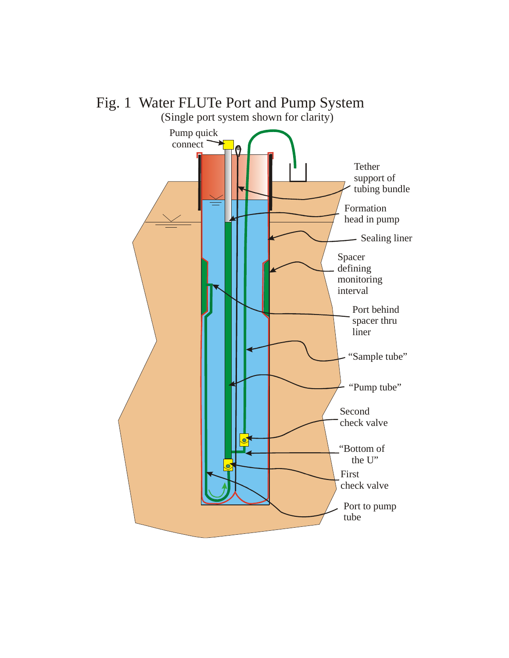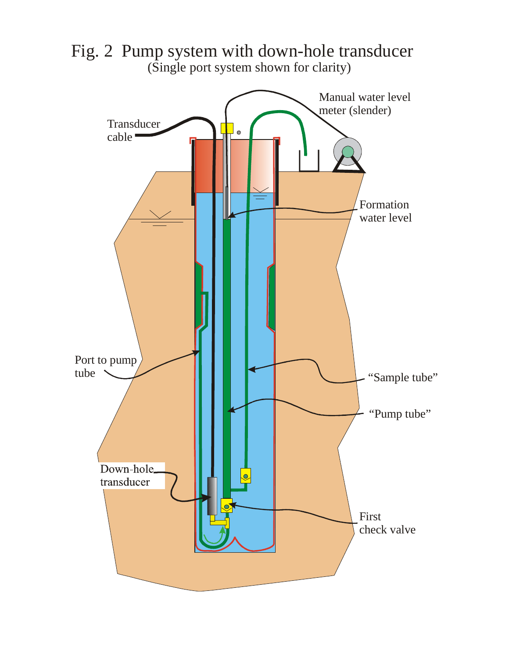

Fig. 2 Pump system with down-hole transducer (Single port system shown for clarity)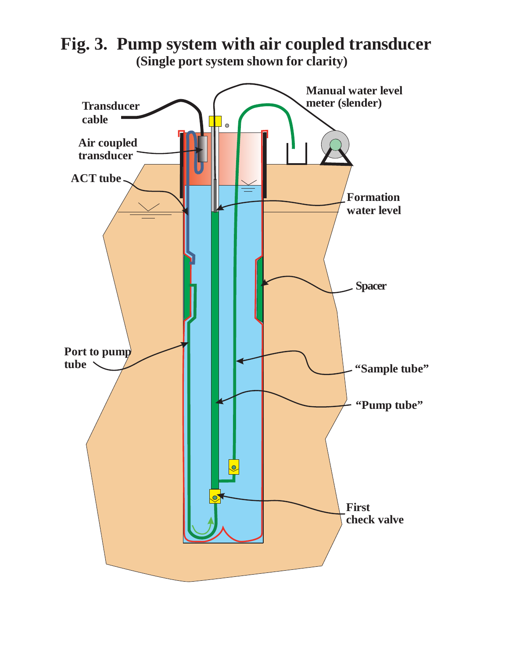**"Sample tube" "Pump tube" First check valve Port to pump tube Transducer cable Air coupled transducer Manual water level meter (slender) Formation water level ACT tube Spacer**

**Fig. 3. Pump system with air coupled transducer (Single port system shown for clarity)**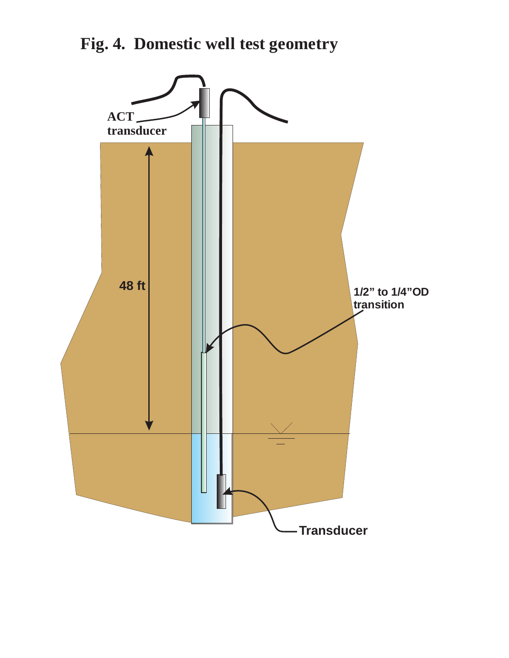